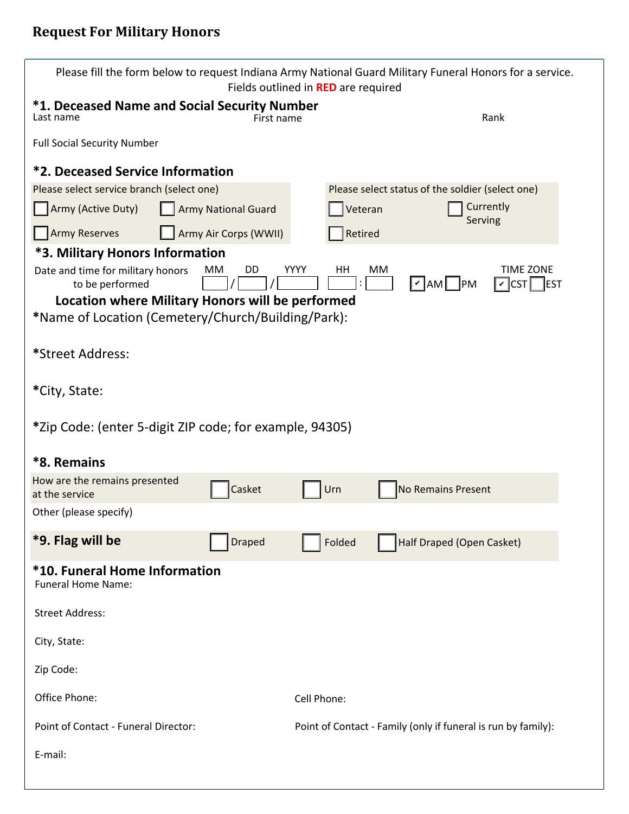| Please fill the form below to request Indiana Army National Guard Military Funeral Honors for a service.<br>Fields outlined in RED are required |                            |             |                                                               |                                             |  |  |  |  |  |  |
|-------------------------------------------------------------------------------------------------------------------------------------------------|----------------------------|-------------|---------------------------------------------------------------|---------------------------------------------|--|--|--|--|--|--|
| *1. Deceased Name and Social Security Number<br>Last name                                                                                       | First name                 |             | Rank                                                          |                                             |  |  |  |  |  |  |
| <b>Full Social Security Number</b>                                                                                                              |                            |             |                                                               |                                             |  |  |  |  |  |  |
| <b>*2. Deceased Service Information</b>                                                                                                         |                            |             |                                                               |                                             |  |  |  |  |  |  |
| Please select service branch (select one)                                                                                                       |                            |             | Please select status of the soldier (select one)              |                                             |  |  |  |  |  |  |
| Army (Active Duty)                                                                                                                              | <b>Army National Guard</b> | Veteran     | Serving                                                       | Currently                                   |  |  |  |  |  |  |
| <b>Army Reserves</b>                                                                                                                            | Army Air Corps (WWII)      | Retired     |                                                               |                                             |  |  |  |  |  |  |
| <b>*3. Military Honors Information</b>                                                                                                          |                            |             |                                                               |                                             |  |  |  |  |  |  |
| Date and time for military honors<br>to be performed                                                                                            | <b>YYYY</b><br>DD<br>MМ    | HH          | МM<br>$\mathcal{V}$ AM PM                                     | <b>TIME ZONE</b><br>$ v $ CST<br><b>EST</b> |  |  |  |  |  |  |
| Location where Military Honors will be performed                                                                                                |                            |             |                                                               |                                             |  |  |  |  |  |  |
| *Name of Location (Cemetery/Church/Building/Park):                                                                                              |                            |             |                                                               |                                             |  |  |  |  |  |  |
| *Street Address:                                                                                                                                |                            |             |                                                               |                                             |  |  |  |  |  |  |
| *City, State:                                                                                                                                   |                            |             |                                                               |                                             |  |  |  |  |  |  |
| *Zip Code: (enter 5-digit ZIP code; for example, 94305)                                                                                         |                            |             |                                                               |                                             |  |  |  |  |  |  |
| *8. Remains                                                                                                                                     |                            |             |                                                               |                                             |  |  |  |  |  |  |
| How are the remains presented<br>at the service                                                                                                 | Casket                     | Urn         | No Remains Present                                            |                                             |  |  |  |  |  |  |
| Other (please specify)                                                                                                                          |                            |             |                                                               |                                             |  |  |  |  |  |  |
| *9. Flag will be                                                                                                                                | <b>Draped</b>              | Folded      | Half Draped (Open Casket)                                     |                                             |  |  |  |  |  |  |
| *10. Funeral Home Information<br><b>Funeral Home Name:</b>                                                                                      |                            |             |                                                               |                                             |  |  |  |  |  |  |
| <b>Street Address:</b>                                                                                                                          |                            |             |                                                               |                                             |  |  |  |  |  |  |
| City, State:                                                                                                                                    |                            |             |                                                               |                                             |  |  |  |  |  |  |
| Zip Code:                                                                                                                                       |                            |             |                                                               |                                             |  |  |  |  |  |  |
| Office Phone:                                                                                                                                   |                            | Cell Phone: |                                                               |                                             |  |  |  |  |  |  |
| Point of Contact - Funeral Director:                                                                                                            |                            |             | Point of Contact - Family (only if funeral is run by family): |                                             |  |  |  |  |  |  |
| E-mail:                                                                                                                                         |                            |             |                                                               |                                             |  |  |  |  |  |  |
|                                                                                                                                                 |                            |             |                                                               |                                             |  |  |  |  |  |  |